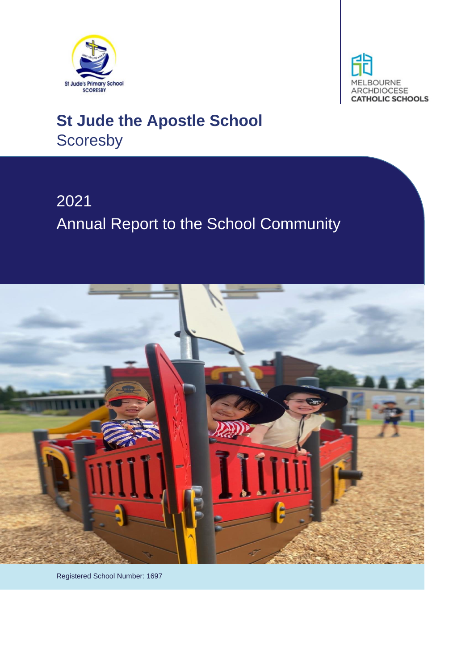



# **St Jude the Apostle School Scoresby**

# 2021 Annual Report to the School Community



Registered School Number: 1697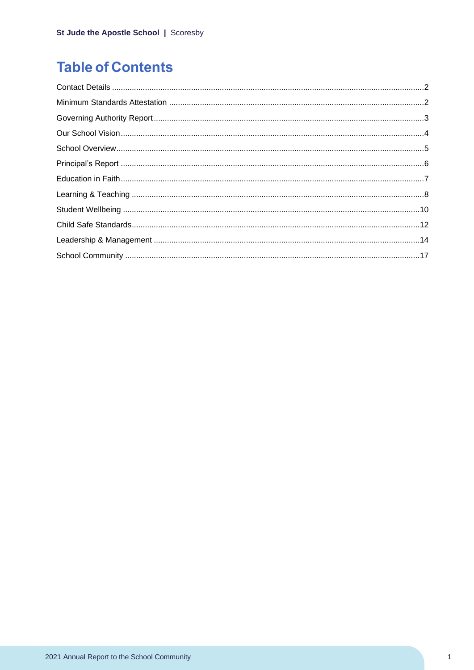# **Table of Contents**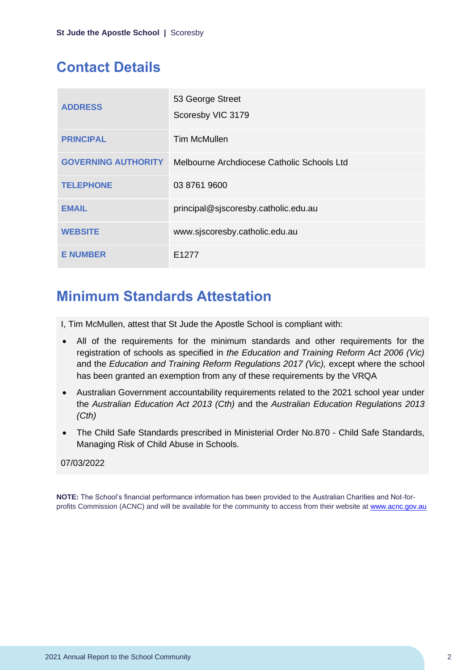### <span id="page-2-0"></span>**Contact Details**

| <b>ADDRESS</b>             | 53 George Street<br>Scoresby VIC 3179      |
|----------------------------|--------------------------------------------|
| <b>PRINCIPAL</b>           | <b>Tim McMullen</b>                        |
| <b>GOVERNING AUTHORITY</b> | Melbourne Archdiocese Catholic Schools Ltd |
| <b>TELEPHONE</b>           | 03 8761 9600                               |
| <b>EMAIL</b>               | principal@sjscoresby.catholic.edu.au       |
| <b>WEBSITE</b>             | www.sjscoresby.catholic.edu.au             |
| <b>E NUMBER</b>            | F <sub>1277</sub>                          |

### <span id="page-2-1"></span>**Minimum Standards Attestation**

I, Tim McMullen, attest that St Jude the Apostle School is compliant with:

- All of the requirements for the minimum standards and other requirements for the registration of schools as specified in *the Education and Training Reform Act 2006 (Vic)* and the *Education and Training Reform Regulations 2017 (Vic),* except where the school has been granted an exemption from any of these requirements by the VRQA
- Australian Government accountability requirements related to the 2021 school year under the *Australian Education Act 2013 (Cth)* and the *Australian Education Regulations 2013 (Cth)*
- The Child Safe Standards prescribed in Ministerial Order No.870 Child Safe Standards, Managing Risk of Child Abuse in Schools.

#### 07/03/2022

**NOTE:** The School's financial performance information has been provided to the Australian Charities and Not-forprofits Commission (ACNC) and will be available for the community to access from their website at [www.acnc.gov.au](http://www.acnc.gov.au/)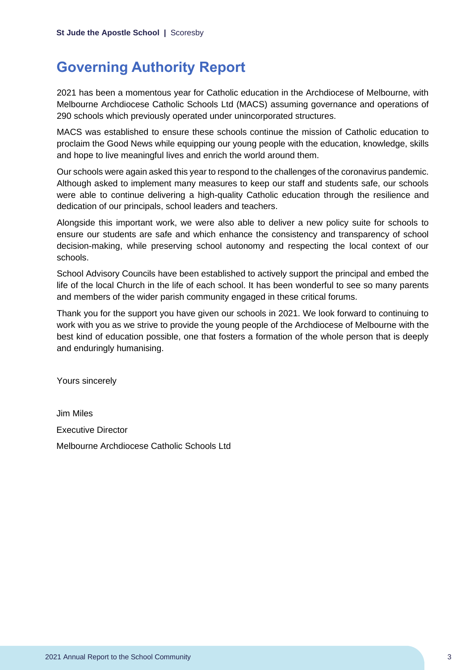### <span id="page-3-0"></span>**Governing Authority Report**

2021 has been a momentous year for Catholic education in the Archdiocese of Melbourne, with Melbourne Archdiocese Catholic Schools Ltd (MACS) assuming governance and operations of 290 schools which previously operated under unincorporated structures.

MACS was established to ensure these schools continue the mission of Catholic education to proclaim the Good News while equipping our young people with the education, knowledge, skills and hope to live meaningful lives and enrich the world around them.

Our schools were again asked this year to respond to the challenges of the coronavirus pandemic. Although asked to implement many measures to keep our staff and students safe, our schools were able to continue delivering a high-quality Catholic education through the resilience and dedication of our principals, school leaders and teachers.

Alongside this important work, we were also able to deliver a new policy suite for schools to ensure our students are safe and which enhance the consistency and transparency of school decision-making, while preserving school autonomy and respecting the local context of our schools.

School Advisory Councils have been established to actively support the principal and embed the life of the local Church in the life of each school. It has been wonderful to see so many parents and members of the wider parish community engaged in these critical forums.

Thank you for the support you have given our schools in 2021. We look forward to continuing to work with you as we strive to provide the young people of the Archdiocese of Melbourne with the best kind of education possible, one that fosters a formation of the whole person that is deeply and enduringly humanising.

Yours sincerely

Jim Miles Executive Director Melbourne Archdiocese Catholic Schools Ltd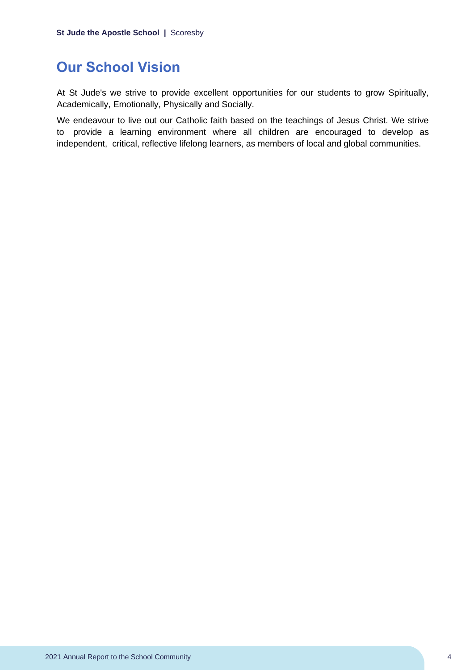### <span id="page-4-0"></span>**Our School Vision**

At St Jude's we strive to provide excellent opportunities for our students to grow Spiritually, Academically, Emotionally, Physically and Socially.

We endeavour to live out our Catholic faith based on the teachings of Jesus Christ. We strive to provide a learning environment where all children are encouraged to develop as independent, critical, reflective lifelong learners, as members of local and global communities.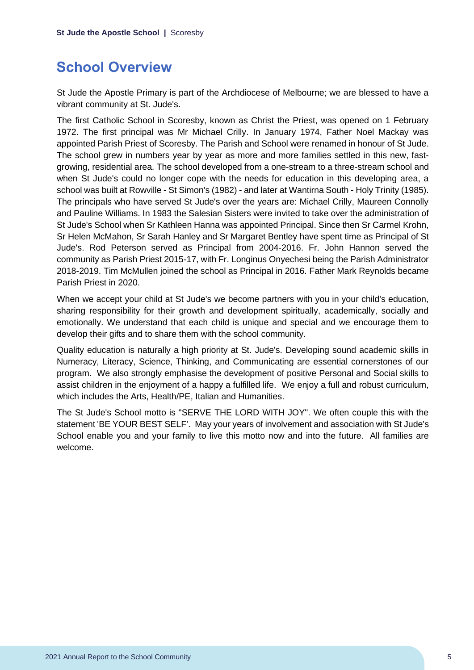### <span id="page-5-0"></span>**School Overview**

St Jude the Apostle Primary is part of the Archdiocese of Melbourne; we are blessed to have a vibrant community at St. Jude's.

The first Catholic School in Scoresby, known as Christ the Priest, was opened on 1 February 1972. The first principal was Mr Michael Crilly. In January 1974, Father Noel Mackay was appointed Parish Priest of Scoresby. The Parish and School were renamed in honour of St Jude. The school grew in numbers year by year as more and more families settled in this new, fastgrowing, residential area. The school developed from a one-stream to a three-stream school and when St Jude's could no longer cope with the needs for education in this developing area, a school was built at Rowville - St Simon's (1982) - and later at Wantirna South - Holy Trinity (1985). The principals who have served St Jude's over the years are: Michael Crilly, Maureen Connolly and Pauline Williams. In 1983 the Salesian Sisters were invited to take over the administration of St Jude's School when Sr Kathleen Hanna was appointed Principal. Since then Sr Carmel Krohn, Sr Helen McMahon, Sr Sarah Hanley and Sr Margaret Bentley have spent time as Principal of St Jude's. Rod Peterson served as Principal from 2004-2016. Fr. John Hannon served the community as Parish Priest 2015-17, with Fr. Longinus Onyechesi being the Parish Administrator 2018-2019. Tim McMullen joined the school as Principal in 2016. Father Mark Reynolds became Parish Priest in 2020.

When we accept your child at St Jude's we become partners with you in your child's education, sharing responsibility for their growth and development spiritually, academically, socially and emotionally. We understand that each child is unique and special and we encourage them to develop their gifts and to share them with the school community.

Quality education is naturally a high priority at St. Jude's. Developing sound academic skills in Numeracy, Literacy, Science, Thinking, and Communicating are essential cornerstones of our program. We also strongly emphasise the development of positive Personal and Social skills to assist children in the enjoyment of a happy a fulfilled life. We enjoy a full and robust curriculum, which includes the Arts, Health/PE, Italian and Humanities.

The St Jude's School motto is "SERVE THE LORD WITH JOY". We often couple this with the statement 'BE YOUR BEST SELF'. May your years of involvement and association with St Jude's School enable you and your family to live this motto now and into the future. All families are welcome.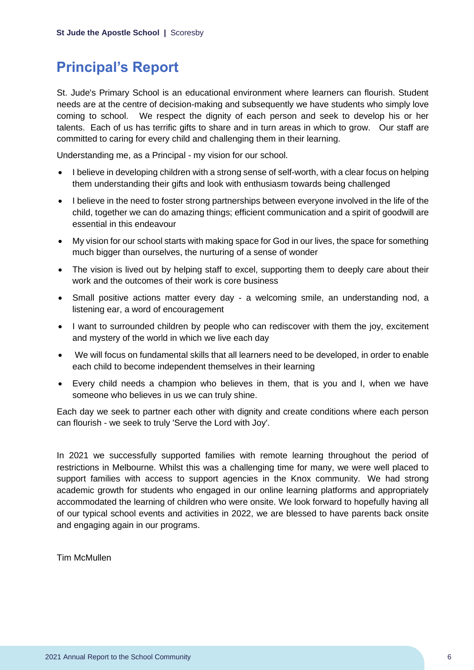### <span id="page-6-0"></span>**Principal's Report**

St. Jude's Primary School is an educational environment where learners can flourish. Student needs are at the centre of decision-making and subsequently we have students who simply love coming to school. We respect the dignity of each person and seek to develop his or her talents. Each of us has terrific gifts to share and in turn areas in which to grow. Our staff are committed to caring for every child and challenging them in their learning.

Understanding me, as a Principal - my vision for our school.

- I believe in developing children with a strong sense of self-worth, with a clear focus on helping them understanding their gifts and look with enthusiasm towards being challenged
- I believe in the need to foster strong partnerships between everyone involved in the life of the child, together we can do amazing things; efficient communication and a spirit of goodwill are essential in this endeavour
- My vision for our school starts with making space for God in our lives, the space for something much bigger than ourselves, the nurturing of a sense of wonder
- The vision is lived out by helping staff to excel, supporting them to deeply care about their work and the outcomes of their work is core business
- Small positive actions matter every day a welcoming smile, an understanding nod, a listening ear, a word of encouragement
- I want to surrounded children by people who can rediscover with them the joy, excitement and mystery of the world in which we live each day
- We will focus on fundamental skills that all learners need to be developed, in order to enable each child to become independent themselves in their learning
- Every child needs a champion who believes in them, that is you and I, when we have someone who believes in us we can truly shine.

Each day we seek to partner each other with dignity and create conditions where each person can flourish - we seek to truly 'Serve the Lord with Joy'.

In 2021 we successfully supported families with remote learning throughout the period of restrictions in Melbourne. Whilst this was a challenging time for many, we were well placed to support families with access to support agencies in the Knox community. We had strong academic growth for students who engaged in our online learning platforms and appropriately accommodated the learning of children who were onsite. We look forward to hopefully having all of our typical school events and activities in 2022, we are blessed to have parents back onsite and engaging again in our programs.

Tim McMullen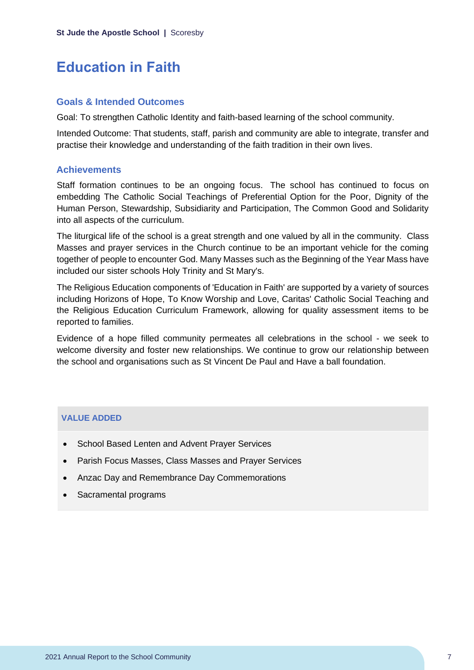### <span id="page-7-0"></span>**Education in Faith**

#### **Goals & Intended Outcomes**

Goal: To strengthen Catholic Identity and faith-based learning of the school community.

Intended Outcome: That students, staff, parish and community are able to integrate, transfer and practise their knowledge and understanding of the faith tradition in their own lives.

#### **Achievements**

Staff formation continues to be an ongoing focus. The school has continued to focus on embedding The Catholic Social Teachings of Preferential Option for the Poor, Dignity of the Human Person, Stewardship, Subsidiarity and Participation, The Common Good and Solidarity into all aspects of the curriculum.

The liturgical life of the school is a great strength and one valued by all in the community. Class Masses and prayer services in the Church continue to be an important vehicle for the coming together of people to encounter God. Many Masses such as the Beginning of the Year Mass have included our sister schools Holy Trinity and St Mary's.

The Religious Education components of 'Education in Faith' are supported by a variety of sources including Horizons of Hope, To Know Worship and Love, Caritas' Catholic Social Teaching and the Religious Education Curriculum Framework, allowing for quality assessment items to be reported to families.

Evidence of a hope filled community permeates all celebrations in the school - we seek to welcome diversity and foster new relationships. We continue to grow our relationship between the school and organisations such as St Vincent De Paul and Have a ball foundation.

#### **VALUE ADDED**

- School Based Lenten and Advent Prayer Services
- Parish Focus Masses, Class Masses and Prayer Services
- Anzac Day and Remembrance Day Commemorations
- Sacramental programs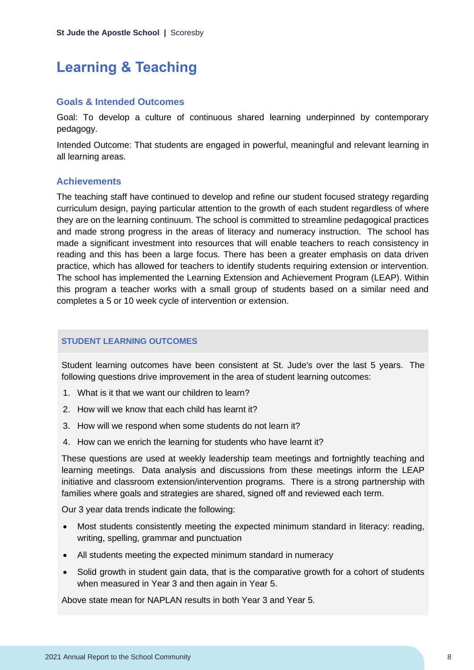## <span id="page-8-0"></span>**Learning & Teaching**

#### **Goals & Intended Outcomes**

Goal: To develop a culture of continuous shared learning underpinned by contemporary pedagogy.

Intended Outcome: That students are engaged in powerful, meaningful and relevant learning in all learning areas.

#### **Achievements**

The teaching staff have continued to develop and refine our student focused strategy regarding curriculum design, paying particular attention to the growth of each student regardless of where they are on the learning continuum. The school is committed to streamline pedagogical practices and made strong progress in the areas of literacy and numeracy instruction. The school has made a significant investment into resources that will enable teachers to reach consistency in reading and this has been a large focus. There has been a greater emphasis on data driven practice, which has allowed for teachers to identify students requiring extension or intervention. The school has implemented the Learning Extension and Achievement Program (LEAP). Within this program a teacher works with a small group of students based on a similar need and completes a 5 or 10 week cycle of intervention or extension.

#### **STUDENT LEARNING OUTCOMES**

Student learning outcomes have been consistent at St. Jude's over the last 5 years. The following questions drive improvement in the area of student learning outcomes:

- 1. What is it that we want our children to learn?
- 2. How will we know that each child has learnt it?
- 3. How will we respond when some students do not learn it?
- 4. How can we enrich the learning for students who have learnt it?

These questions are used at weekly leadership team meetings and fortnightly teaching and learning meetings. Data analysis and discussions from these meetings inform the LEAP initiative and classroom extension/intervention programs. There is a strong partnership with families where goals and strategies are shared, signed off and reviewed each term.

Our 3 year data trends indicate the following:

- Most students consistently meeting the expected minimum standard in literacy: reading, writing, spelling, grammar and punctuation
- All students meeting the expected minimum standard in numeracy
- Solid growth in student gain data, that is the comparative growth for a cohort of students when measured in Year 3 and then again in Year 5.

Above state mean for NAPLAN results in both Year 3 and Year 5.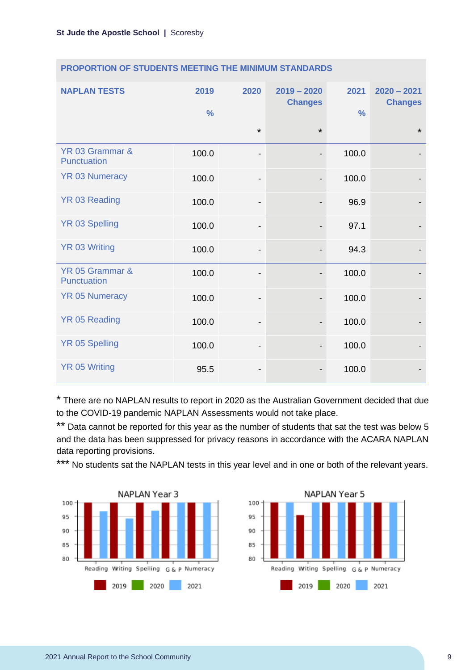| <b>NAPLAN TESTS</b>            | 2019<br>$\frac{9}{6}$ | 2020                         | $2019 - 2020$<br><b>Changes</b> | 2021<br>$\frac{0}{0}$ | $2020 - 2021$<br><b>Changes</b> |
|--------------------------------|-----------------------|------------------------------|---------------------------------|-----------------------|---------------------------------|
|                                |                       | $\star$                      | $\star$                         |                       | $\star$                         |
| YR 03 Grammar &<br>Punctuation | 100.0                 | $\overline{a}$               | $\overline{\phantom{a}}$        | 100.0                 |                                 |
| <b>YR 03 Numeracy</b>          | 100.0                 | -                            | $\overline{\phantom{a}}$        | 100.0                 |                                 |
| <b>YR 03 Reading</b>           | 100.0                 | -                            |                                 | 96.9                  |                                 |
| <b>YR 03 Spelling</b>          | 100.0                 | $\qquad \qquad \blacksquare$ | $\overline{\phantom{a}}$        | 97.1                  |                                 |
| <b>YR 03 Writing</b>           | 100.0                 | $\qquad \qquad \blacksquare$ | $\overline{\phantom{a}}$        | 94.3                  |                                 |
| YR 05 Grammar &<br>Punctuation | 100.0                 |                              |                                 | 100.0                 |                                 |
| <b>YR 05 Numeracy</b>          | 100.0                 | $\overline{\phantom{a}}$     | $\overline{\phantom{a}}$        | 100.0                 |                                 |
| <b>YR 05 Reading</b>           | 100.0                 | -                            |                                 | 100.0                 |                                 |
| <b>YR 05 Spelling</b>          | 100.0                 | $\overline{\phantom{0}}$     |                                 | 100.0                 |                                 |
| <b>YR 05 Writing</b>           | 95.5                  |                              |                                 | 100.0                 |                                 |

#### **PROPORTION OF STUDENTS MEETING THE MINIMUM STANDARDS**

\* There are no NAPLAN results to report in 2020 as the Australian Government decided that due to the COVID-19 pandemic NAPLAN Assessments would not take place.

\*\* Data cannot be reported for this year as the number of students that sat the test was below 5 and the data has been suppressed for privacy reasons in accordance with the ACARA NAPLAN data reporting provisions.

\*\*\* No students sat the NAPLAN tests in this year level and in one or both of the relevant years.



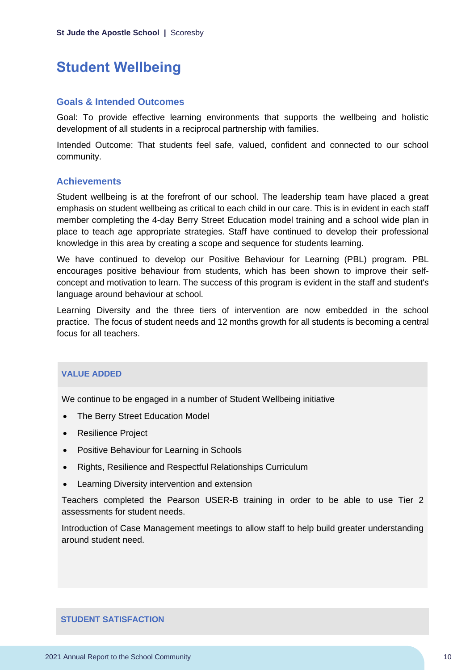### <span id="page-10-0"></span>**Student Wellbeing**

#### **Goals & Intended Outcomes**

Goal: To provide effective learning environments that supports the wellbeing and holistic development of all students in a reciprocal partnership with families.

Intended Outcome: That students feel safe, valued, confident and connected to our school community.

#### **Achievements**

Student wellbeing is at the forefront of our school. The leadership team have placed a great emphasis on student wellbeing as critical to each child in our care. This is in evident in each staff member completing the 4-day Berry Street Education model training and a school wide plan in place to teach age appropriate strategies. Staff have continued to develop their professional knowledge in this area by creating a scope and sequence for students learning.

We have continued to develop our Positive Behaviour for Learning (PBL) program. PBL encourages positive behaviour from students, which has been shown to improve their selfconcept and motivation to learn. The success of this program is evident in the staff and student's language around behaviour at school.

Learning Diversity and the three tiers of intervention are now embedded in the school practice. The focus of student needs and 12 months growth for all students is becoming a central focus for all teachers.

#### **VALUE ADDED**

We continue to be engaged in a number of Student Wellbeing initiative

- The Berry Street Education Model
- Resilience Project
- Positive Behaviour for Learning in Schools
- Rights, Resilience and Respectful Relationships Curriculum
- Learning Diversity intervention and extension

Teachers completed the Pearson USER-B training in order to be able to use Tier 2 assessments for student needs.

Introduction of Case Management meetings to allow staff to help build greater understanding around student need.

#### **STUDENT SATISFACTION**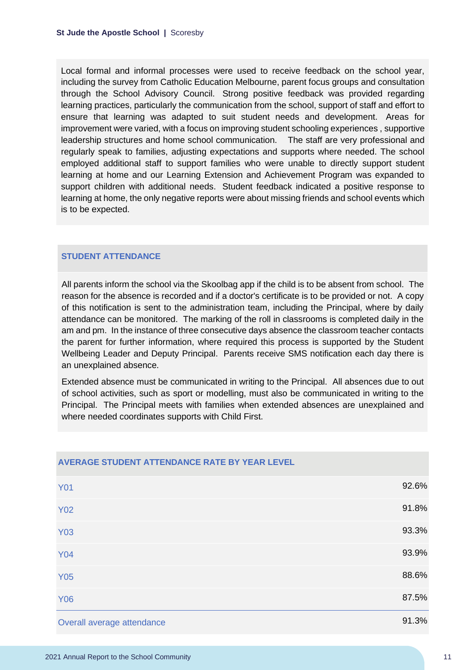Local formal and informal processes were used to receive feedback on the school year, including the survey from Catholic Education Melbourne, parent focus groups and consultation through the School Advisory Council. Strong positive feedback was provided regarding learning practices, particularly the communication from the school, support of staff and effort to ensure that learning was adapted to suit student needs and development. Areas for improvement were varied, with a focus on improving student schooling experiences , supportive leadership structures and home school communication. The staff are very professional and regularly speak to families, adjusting expectations and supports where needed. The school employed additional staff to support families who were unable to directly support student learning at home and our Learning Extension and Achievement Program was expanded to support children with additional needs. Student feedback indicated a positive response to learning at home, the only negative reports were about missing friends and school events which is to be expected.

#### **STUDENT ATTENDANCE**

All parents inform the school via the Skoolbag app if the child is to be absent from school. The reason for the absence is recorded and if a doctor's certificate is to be provided or not. A copy of this notification is sent to the administration team, including the Principal, where by daily attendance can be monitored. The marking of the roll in classrooms is completed daily in the am and pm. In the instance of three consecutive days absence the classroom teacher contacts the parent for further information, where required this process is supported by the Student Wellbeing Leader and Deputy Principal. Parents receive SMS notification each day there is an unexplained absence.

Extended absence must be communicated in writing to the Principal. All absences due to out of school activities, such as sport or modelling, must also be communicated in writing to the Principal. The Principal meets with families when extended absences are unexplained and where needed coordinates supports with Child First.

| <b>Y01</b>                 | 92.6% |
|----------------------------|-------|
| <b>Y02</b>                 | 91.8% |
| <b>Y03</b>                 | 93.3% |
| <b>Y04</b>                 | 93.9% |
| <b>Y05</b>                 | 88.6% |
| <b>Y06</b>                 | 87.5% |
| Overall average attendance | 91.3% |

#### **AVERAGE STUDENT ATTENDANCE RATE BY YEAR LEVEL**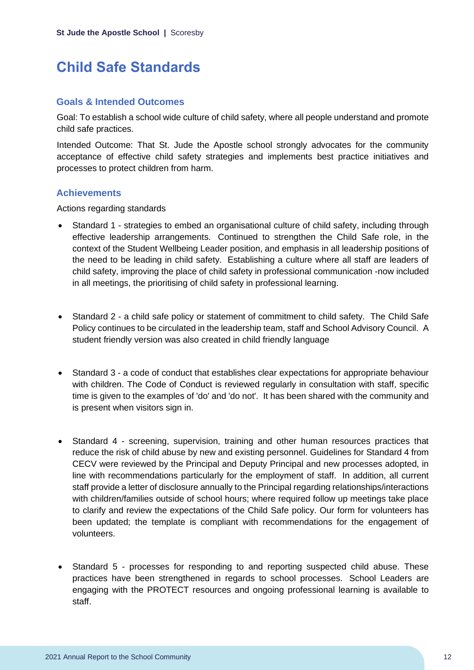## <span id="page-12-0"></span>**Child Safe Standards**

#### **Goals & Intended Outcomes**

Goal: To establish a school wide culture of child safety, where all people understand and promote child safe practices.

Intended Outcome: That St. Jude the Apostle school strongly advocates for the community acceptance of effective child safety strategies and implements best practice initiatives and processes to protect children from harm.

#### **Achievements**

Actions regarding standards

- Standard 1 strategies to embed an organisational culture of child safety, including through effective leadership arrangements. Continued to strengthen the Child Safe role, in the context of the Student Wellbeing Leader position, and emphasis in all leadership positions of the need to be leading in child safety. Establishing a culture where all staff are leaders of child safety, improving the place of child safety in professional communication -now included in all meetings, the prioritising of child safety in professional learning.
- Standard 2 a child safe policy or statement of commitment to child safety. The Child Safe Policy continues to be circulated in the leadership team, staff and School Advisory Council. A student friendly version was also created in child friendly language
- Standard 3 a code of conduct that establishes clear expectations for appropriate behaviour with children. The Code of Conduct is reviewed regularly in consultation with staff, specific time is given to the examples of 'do' and 'do not'. It has been shared with the community and is present when visitors sign in.
- Standard 4 screening, supervision, training and other human resources practices that reduce the risk of child abuse by new and existing personnel. Guidelines for Standard 4 from CECV were reviewed by the Principal and Deputy Principal and new processes adopted, in line with recommendations particularly for the employment of staff. In addition, all current staff provide a letter of disclosure annually to the Principal regarding relationships/interactions with children/families outside of school hours; where required follow up meetings take place to clarify and review the expectations of the Child Safe policy. Our form for volunteers has been updated; the template is compliant with recommendations for the engagement of volunteers.
- Standard 5 processes for responding to and reporting suspected child abuse. These practices have been strengthened in regards to school processes. School Leaders are engaging with the PROTECT resources and ongoing professional learning is available to staff.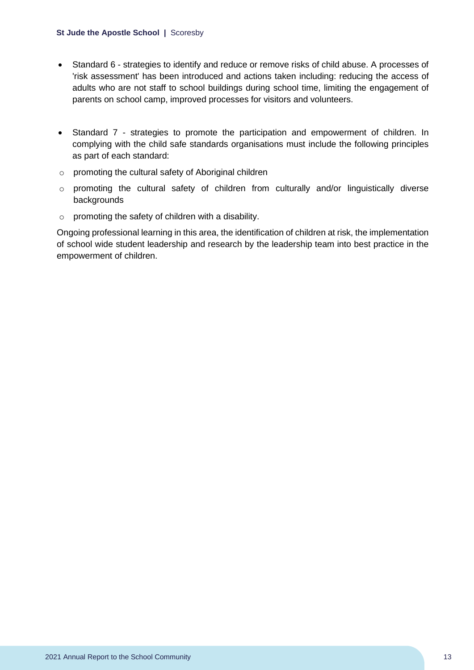#### **St Jude the Apostle School |** Scoresby

- Standard 6 strategies to identify and reduce or remove risks of child abuse. A processes of 'risk assessment' has been introduced and actions taken including: reducing the access of adults who are not staff to school buildings during school time, limiting the engagement of parents on school camp, improved processes for visitors and volunteers.
- Standard 7 strategies to promote the participation and empowerment of children. In complying with the child safe standards organisations must include the following principles as part of each standard:
- o promoting the cultural safety of Aboriginal children
- o promoting the cultural safety of children from culturally and/or linguistically diverse backgrounds
- o promoting the safety of children with a disability.

Ongoing professional learning in this area, the identification of children at risk, the implementation of school wide student leadership and research by the leadership team into best practice in the empowerment of children.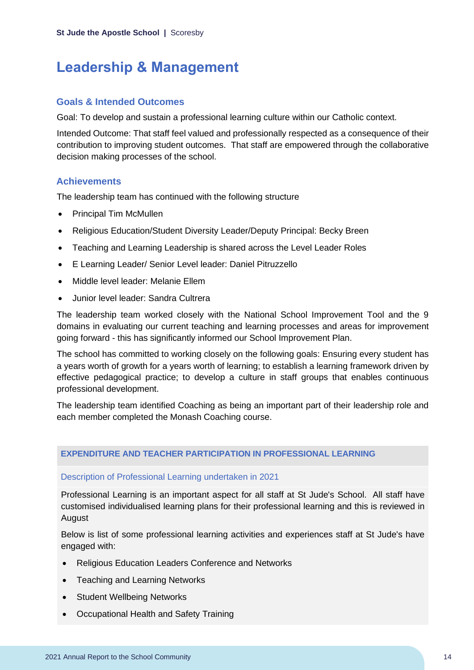### <span id="page-14-0"></span>**Leadership & Management**

#### **Goals & Intended Outcomes**

Goal: To develop and sustain a professional learning culture within our Catholic context.

Intended Outcome: That staff feel valued and professionally respected as a consequence of their contribution to improving student outcomes. That staff are empowered through the collaborative decision making processes of the school.

#### **Achievements**

The leadership team has continued with the following structure

- Principal Tim McMullen
- Religious Education/Student Diversity Leader/Deputy Principal: Becky Breen
- Teaching and Learning Leadership is shared across the Level Leader Roles
- E Learning Leader/ Senior Level leader: Daniel Pitruzzello
- Middle level leader: Melanie Ellem
- Junior level leader: Sandra Cultrera

The leadership team worked closely with the National School Improvement Tool and the 9 domains in evaluating our current teaching and learning processes and areas for improvement going forward - this has significantly informed our School Improvement Plan.

The school has committed to working closely on the following goals: Ensuring every student has a years worth of growth for a years worth of learning; to establish a learning framework driven by effective pedagogical practice; to develop a culture in staff groups that enables continuous professional development.

The leadership team identified Coaching as being an important part of their leadership role and each member completed the Monash Coaching course.

#### **EXPENDITURE AND TEACHER PARTICIPATION IN PROFESSIONAL LEARNING**

#### Description of Professional Learning undertaken in 2021

Professional Learning is an important aspect for all staff at St Jude's School. All staff have customised individualised learning plans for their professional learning and this is reviewed in August

Below is list of some professional learning activities and experiences staff at St Jude's have engaged with:

- Religious Education Leaders Conference and Networks
- Teaching and Learning Networks
- Student Wellbeing Networks
- Occupational Health and Safety Training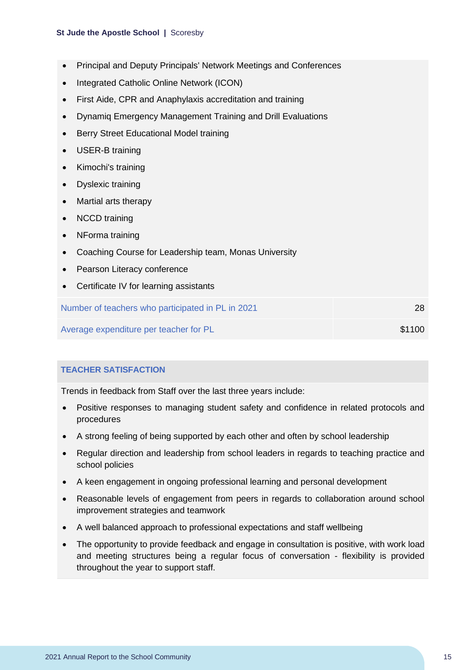#### **St Jude the Apostle School |** Scoresby

- Principal and Deputy Principals' Network Meetings and Conferences
- Integrated Catholic Online Network (ICON)
- First Aide, CPR and Anaphylaxis accreditation and training
- Dynamiq Emergency Management Training and Drill Evaluations
- Berry Street Educational Model training
- USER-B training
- Kimochi's training
- Dyslexic training
- Martial arts therapy
- NCCD training
- NForma training
- Coaching Course for Leadership team, Monas University
- Pearson Literacy conference
- Certificate IV for learning assistants

| Number of teachers who participated in PL in 2021 |        |
|---------------------------------------------------|--------|
| Average expenditure per teacher for PL            | \$1100 |

#### **TEACHER SATISFACTION**

Trends in feedback from Staff over the last three years include:

- Positive responses to managing student safety and confidence in related protocols and procedures
- A strong feeling of being supported by each other and often by school leadership
- Regular direction and leadership from school leaders in regards to teaching practice and school policies
- A keen engagement in ongoing professional learning and personal development
- Reasonable levels of engagement from peers in regards to collaboration around school improvement strategies and teamwork
- A well balanced approach to professional expectations and staff wellbeing
- The opportunity to provide feedback and engage in consultation is positive, with work load and meeting structures being a regular focus of conversation - flexibility is provided throughout the year to support staff.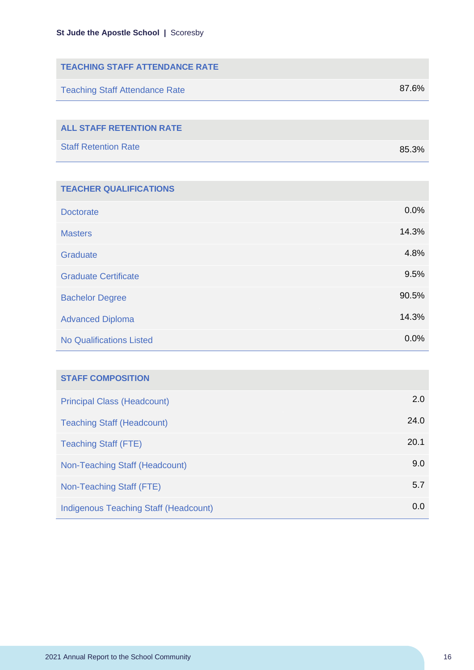| <b>TEACHING STAFF ATTENDANCE RATE</b> |       |
|---------------------------------------|-------|
| <b>Teaching Staff Attendance Rate</b> | 87.6% |
|                                       |       |
| <b>ALL STAFF RETENTION RATE</b>       |       |
| <b>Staff Retention Rate</b>           | 85.3% |

| <b>TEACHER QUALIFICATIONS</b>   |       |
|---------------------------------|-------|
| <b>Doctorate</b>                | 0.0%  |
| <b>Masters</b>                  | 14.3% |
| Graduate                        | 4.8%  |
| <b>Graduate Certificate</b>     | 9.5%  |
| <b>Bachelor Degree</b>          | 90.5% |
| <b>Advanced Diploma</b>         | 14.3% |
| <b>No Qualifications Listed</b> | 0.0%  |

| <b>STAFF COMPOSITION</b>                     |      |
|----------------------------------------------|------|
| <b>Principal Class (Headcount)</b>           | 2.0  |
| <b>Teaching Staff (Headcount)</b>            | 24.0 |
| <b>Teaching Staff (FTE)</b>                  | 20.1 |
| Non-Teaching Staff (Headcount)               | 9.0  |
| Non-Teaching Staff (FTE)                     | 5.7  |
| <b>Indigenous Teaching Staff (Headcount)</b> | 0.0  |